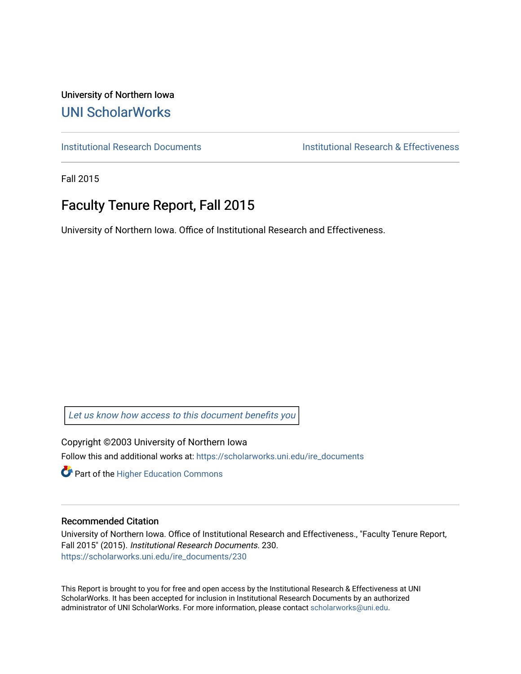University of Northern Iowa [UNI ScholarWorks](https://scholarworks.uni.edu/) 

[Institutional Research Documents](https://scholarworks.uni.edu/ire_documents) [Institutional Research & Effectiveness](https://scholarworks.uni.edu/ire) 

Fall 2015

# Faculty Tenure Report, Fall 2015

University of Northern Iowa. Office of Institutional Research and Effectiveness.

[Let us know how access to this document benefits you](https://scholarworks.uni.edu/feedback_form.html) 

Copyright ©2003 University of Northern Iowa Follow this and additional works at: [https://scholarworks.uni.edu/ire\\_documents](https://scholarworks.uni.edu/ire_documents?utm_source=scholarworks.uni.edu%2Fire_documents%2F230&utm_medium=PDF&utm_campaign=PDFCoverPages) 

**Part of the Higher Education Commons** 

#### Recommended Citation

University of Northern Iowa. Office of Institutional Research and Effectiveness., "Faculty Tenure Report, Fall 2015" (2015). Institutional Research Documents. 230. [https://scholarworks.uni.edu/ire\\_documents/230](https://scholarworks.uni.edu/ire_documents/230?utm_source=scholarworks.uni.edu%2Fire_documents%2F230&utm_medium=PDF&utm_campaign=PDFCoverPages) 

This Report is brought to you for free and open access by the Institutional Research & Effectiveness at UNI ScholarWorks. It has been accepted for inclusion in Institutional Research Documents by an authorized administrator of UNI ScholarWorks. For more information, please contact [scholarworks@uni.edu](mailto:scholarworks@uni.edu).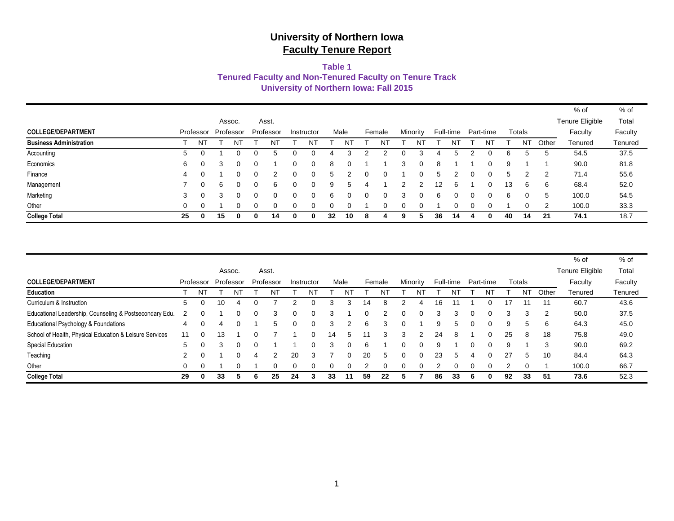### **Table 1**

#### **Tenured Faculty and Non-Tenured Faculty on Tenure Track**

**University of Northern Iowa: Fall 2015**

|                                |    |           |               |   |              |           |   |            |    |      |          |        |          |          |               |           |   |           |    |           |       | % of            | % of    |
|--------------------------------|----|-----------|---------------|---|--------------|-----------|---|------------|----|------|----------|--------|----------|----------|---------------|-----------|---|-----------|----|-----------|-------|-----------------|---------|
|                                |    |           | Assoc.        |   |              | Asst.     |   |            |    |      |          |        |          |          |               |           |   |           |    |           |       | Tenure Eligible | Total   |
| <b>COLLEGE/DEPARTMENT</b>      |    | Professor | Professor     |   |              | Professor |   | Instructor |    | Male |          | Female | Minority |          |               | Full-time |   | Part-time |    | Totals    |       | Faculty         | Faculty |
| <b>Business Administration</b> |    | NT        |               | N |              |           |   | N٦         |    |      |          | NT     |          | N.       |               |           |   | NT        |    | <b>NT</b> | Other | Tenured         | Tenured |
| Accounting                     | 5  |           |               |   |              | .5        |   |            |    |      |          |        |          |          |               | 5         |   |           | 6  | 5         |       | 54.5            | 37.5    |
| Economics                      | 6  | ∩         |               |   |              |           |   | 0          | 8  |      |          |        | 3        |          | 8             |           |   |           | 9  |           |       | 90.0            | 81.8    |
| Finance                        | 4  |           |               |   | 0            | 2         |   | $\Omega$   | b. |      | $\Omega$ | 0      |          |          | $\mathcal{D}$ |           | ი |           | 5  |           |       | 71.4            | 55.6    |
| Management                     |    | 0         | <sub>15</sub> |   |              | 6         |   |            | 9  | 5    |          |        |          |          | 12            | 6         |   | 0         | 13 | 6         | 6     | 68.4            | 52.0    |
| Marketing                      | 3  | $\Omega$  | 3             |   | <sup>o</sup> | $\Omega$  | 0 | $\Omega$   | 6  | 0    | 0        | ი      | з        | $\Omega$ | 6             |           | 0 | 0         | 6  | 0         | .5    | 100.0           | 54.5    |
| Other                          | 0  |           |               |   |              | $\Omega$  |   |            | 0  |      |          |        |          |          |               |           |   |           |    | $\Omega$  |       | 100.0           | 33.3    |
| <b>College Total</b>           | 25 | 0         | 15            |   | 0            | 14        |   | 0          | 32 | 10   | 8        |        |          |          | 36            | 14        |   |           | 40 | 14        | 21    | 74.1            | 18.7    |

|                                                         |               |           |           |   |   |           |    |            |    |      |    |               |   |          |    |               |          |           |    |        |       | % of            | $%$ of  |
|---------------------------------------------------------|---------------|-----------|-----------|---|---|-----------|----|------------|----|------|----|---------------|---|----------|----|---------------|----------|-----------|----|--------|-------|-----------------|---------|
|                                                         |               |           | Assoc.    |   |   | Asst.     |    |            |    |      |    |               |   |          |    |               |          |           |    |        |       | Tenure Eligible | Total   |
| <b>COLLEGE/DEPARTMENT</b>                               |               | Professor | Professor |   |   | Professor |    | Instructor |    | Male |    | Female        |   | Minority |    | Full-time     |          | Part-time |    | Totals |       | Faculty         | Faculty |
| Education                                               |               | NΊ        |           |   |   |           |    | N          |    | N١   |    |               |   |          |    |               |          |           |    | NT     | Other | Tenured         | Tenured |
| Curriculum & Instruction                                | 5             | $\Omega$  | 10        | 4 |   |           |    |            |    |      | 14 | 8             |   |          | 16 |               |          |           | 17 | 11     | 11    | 60.7            | 43.6    |
| Educational Leadership, Counseling & Postsecondary Edu. | $\mathcal{P}$ | $\Omega$  |           |   | 0 | 3         | 0  |            |    |      | 0  | $\mathcal{P}$ | 0 | 0        | 3  | 3             | $\Omega$ | 0         | 3  | 3      | -2    | 50.0            | 37.5    |
| Educational Psychology & Foundations                    | 4             | $\Omega$  | 4         |   |   | 5         | 0  |            | 3  |      | 6  | 3             | 0 |          | 9  |               | $\Omega$ | 0         | 9  | 5      | 6     | 64.3            | 45.0    |
| School of Health, Physical Education & Leisure Services | 11            | $\Omega$  | 13        |   |   |           |    |            | 14 | 5    |    | 3             | 3 |          | 24 | 8             |          | 0         | 25 | 8      | 18    | 75.8            | 49.0    |
| Special Education                                       | 5             | $\Omega$  | З         |   |   |           |    |            |    | 0    | 6  |               | 0 |          | 9  |               |          |           | 9  |        | 3     | 90.0            | 69.2    |
| Teaching                                                | 2             | $\Omega$  |           |   |   | 2         | 20 | 3          |    | 0    | 20 | 5             | 0 |          | 23 | $\mathcal{D}$ |          | $\Omega$  | 27 | 5      | 10    | 84.4            | 64.3    |
| Other                                                   | 0             | $\Omega$  |           |   |   | 0         |    |            |    |      |    |               |   |          |    |               |          |           | ◠  |        |       | 100.0           | 66.7    |
| <b>College Total</b>                                    | 29            | 0         | 33        |   |   | 25        | 24 |            | 33 | 11   | 59 | 22            |   |          | 86 | 33            |          | 0         | 92 | 33     | 51    | 73.6            | 52.3    |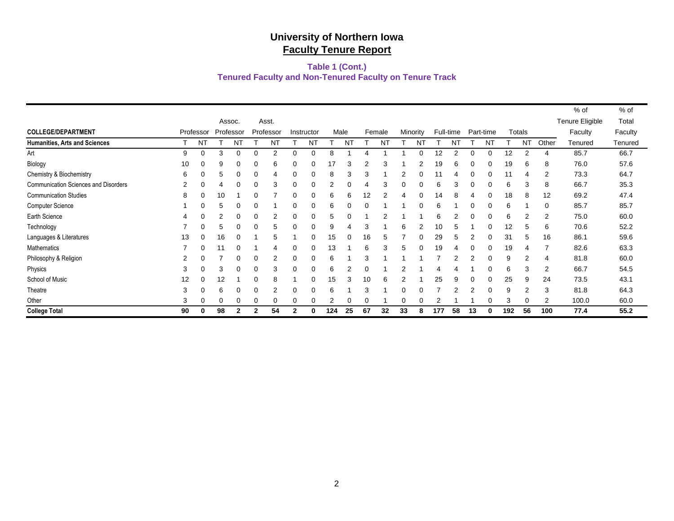### **Tenured Faculty and Non-Tenured Faculty on Tenure Track Table 1 (Cont.)**

|                                             |           |           |           |          |          |           |          |            |      |    |          |        |          |          |     |           |           |    |     |           |                | % of            | % of    |
|---------------------------------------------|-----------|-----------|-----------|----------|----------|-----------|----------|------------|------|----|----------|--------|----------|----------|-----|-----------|-----------|----|-----|-----------|----------------|-----------------|---------|
|                                             |           |           | Assoc.    |          |          | Asst.     |          |            |      |    |          |        |          |          |     |           |           |    |     |           |                | Tenure Eligible | Total   |
| <b>COLLEGE/DEPARTMENT</b>                   | Professor |           | Professor |          |          | Professor |          | Instructor | Male |    |          | Female | Minority |          |     | Full-time | Part-time |    |     | Totals    |                | Faculty         | Faculty |
| <b>Humanities, Arts and Sciences</b>        |           | <b>NT</b> |           | NT       |          | NT        |          | NT         |      | NT |          | NT     |          | N٦       |     |           |           | NT |     | <b>NT</b> | Other          | Tenured         | Tenured |
| Art                                         | 9         | $\Omega$  | 3         | ∩        | O        | 2         | ∩        | $\Omega$   | 8    |    |          |        |          |          | 12  | 2         | $\Omega$  | 0  | 12  | 2         |                | 85.7            | 66.7    |
| Biology                                     | 10        | 0         | 9         | $\Omega$ | 0        | 6         |          | 0          | 17   | 3  | 2        | З      |          |          | 19  | 6         | 0         |    | 19  | 6         | 8              | 76.0            | 57.6    |
| Chemistry & Biochemistry                    | 6         | $\Omega$  | 5         | $\Omega$ | 0        | 4         | 0        | 0          | 8    | 3  | 3        |        | 2        |          |     |           |           |    |     |           | 2              | 73.3            | 64.7    |
| <b>Communication Sciences and Disorders</b> | 2         | 0         |           | 0        | 0        | 3         | 0        | 0          |      | 0  | 4        | 3      |          |          | 6   | з         | 0         |    | 6   | 3         | 8              | 66.7            | 35.3    |
| <b>Communication Studies</b>                | 8         | 0         | 10        |          | 0        |           |          |            | 6    | 6  | 12       |        |          |          | 14  | 8         |           |    | 18  | 8         | 12             | 69.2            | 47.4    |
| <b>Computer Science</b>                     |           |           | 5         |          |          |           |          | 0          | 6    |    | 0        |        |          |          |     |           |           |    | 6   |           | ∩              | 85.7            | 85.7    |
| Earth Science                               | 4         | 0         | 2         | $\Omega$ | $\Omega$ | 2         | $\Omega$ | O          | 5    | 0  |          |        |          |          | 6   |           |           |    | 6   |           | $\overline{2}$ | 75.0            | 60.0    |
| Technology                                  |           | $\Omega$  | 5         | $\Omega$ | 0        | 5         | $\Omega$ | 0          | 9    |    | 3        |        | 6        |          | 10  |           |           | 0  | 12  | 5         | 6              | 70.6            | 52.2    |
| Languages & Literatures                     | 13        | 0         | 16        | $\Omega$ |          | 5         |          | 0          | 15   |    | 16       |        |          |          | 29  |           |           |    | 31  | 5         | 16             | 86.1            | 59.6    |
| Mathematics                                 |           | $\Omega$  | 11        | $\Omega$ |          | 4         | 0        | $\Omega$   | 13   |    | 6        | 3      | 5        | $\Omega$ | 19  | 4         | 0         | 0  | 19  |           |                | 82.6            | 63.3    |
| Philosophy & Religion                       | 2         | 0         |           | ∩        | 0        | 2         | 0        | $\Omega$   | 6    |    | 3        |        |          |          |     |           | 2         | 0  | 9   |           | 4              | 81.8            | 60.0    |
| Physics                                     | 3         | 0         | 3         | 0        | 0        | 3         |          | 0          | 6    | 2  | 0        |        |          |          |     |           |           |    | 6   | 3         | 2              | 66.7            | 54.5    |
| School of Music                             | 12        | 0         | 12        |          | 0        | 8         |          | 0          | 15   | 3  | 10       | 6      |          |          | 25  | 9         |           |    | 25  | 9         | 24             | 73.5            | 43.1    |
| Theatre                                     | 3         | $\Omega$  | 6         | ∩        | 0        | 2         | 0        | O          | ี    |    | 3        |        |          |          |     |           |           |    | 9   |           | 3              | 81.8            | 64.3    |
| Other                                       | 3         | $\Omega$  |           | ∩        | 0        | 0         |          |            |      |    | $\Omega$ |        |          |          |     |           |           |    | 3   |           | 2              | 100.0           | 60.0    |
| <b>College Total</b>                        | 90        | 0         | 98        | 2        | 2        | 54        | 2        | 0          | 124  | 25 | 67       | 32     | 33       | 8        | 177 | 58        | 13        | 0  | 192 | 56        | 100            | 77.4            | 55.2    |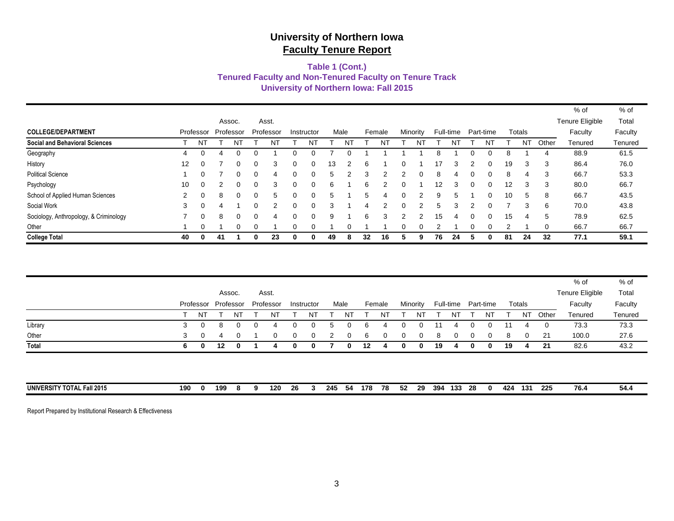### **Tenured Faculty and Non-Tenured Faculty on Tenure Track Table 1 (Cont.) University of Northern Iowa: Fall 2015**

|                                        |                   |           |           |          |              |           |   |            |    |      |    |        |          |          |    |           |   |           |    |           |       | % of            | % of    |
|----------------------------------------|-------------------|-----------|-----------|----------|--------------|-----------|---|------------|----|------|----|--------|----------|----------|----|-----------|---|-----------|----|-----------|-------|-----------------|---------|
|                                        |                   |           | Assoc.    |          |              | Asst.     |   |            |    |      |    |        |          |          |    |           |   |           |    |           |       | Tenure Eligible | Total   |
| <b>COLLEGE/DEPARTMENT</b>              |                   | Professor | Professor |          |              | Professor |   | Instructor |    | Male |    | Female | Minority |          |    | Full-time |   | Part-time |    | Totals    |       | Faculty         | Faculty |
| <b>Social and Behavioral Sciences</b>  |                   | NT        |           | NT       |              | NT        |   | NT         |    | NT   |    | N      |          | N٦       |    | NT        |   | NΤ        |    | <b>NT</b> | Other | Tenured         | Tenured |
| Geography                              | 4                 | $\Omega$  |           |          | ∩            |           |   |            |    |      |    |        |          |          |    |           |   |           | 8  |           | 4     | 88.9            | 61.5    |
| History                                | $12 \overline{ }$ | $\Omega$  |           | $\Omega$ | $\Omega$     | 3         |   | ∩          | 13 |      | 6  |        | 0        |          | 17 |           |   |           | 19 | 3         | 3     | 86.4            | 76.0    |
| <b>Political Science</b>               |                   | 0         |           | ∩        | $\Omega$     | 4         |   | $\Omega$   | 5. | 2    | 3  | 2      | 2        | 0        | 8  | 4         |   | $\Omega$  | 8  | 4         | 3     | 66.7            | 53.3    |
| Psychology                             | 10                | $\Omega$  |           |          | 0            | 3         |   |            | 6  |      | 6  |        | 0        |          | 12 |           |   |           | 12 | 3         | 3     | 80.0            | 66.7    |
| School of Applied Human Sciences       | $\mathbf{2}$      | $\Omega$  | 8         |          | $\Omega$     | 5         |   |            | 5  |      | 5  |        | 0        |          | 9  |           |   |           | 10 | 5         | 8     | 66.7            | 43.5    |
| Social Work                            | 3                 | $\Omega$  |           |          | $\Omega$     | 2         |   |            |    |      |    |        | O        | າ        | 5  |           |   |           |    | 3         | 6     | 70.0            | 43.8    |
| Sociology, Anthropology, & Criminology |                   | $\Omega$  | 8         |          | $\Omega$     | 4         |   |            | Я  |      | 6  | З      | っ        | 2        | 15 | 4         |   |           | 15 | 4         | 5     | 78.9            | 62.5    |
| Other                                  |                   | 0         |           | $\Omega$ | $\Omega$     |           |   | $\Omega$   |    |      |    |        | 0        | $\Omega$ |    |           |   |           | 2  |           | 0     | 66.7            | 66.7    |
| <b>College Total</b>                   | 40                | 0         | 41        |          | $\mathbf{0}$ | 23        | 0 | 0          | 49 | 8    | 32 | 16     | 5        | 9        | 76 | 24        | 5 |           | 81 | 24        | 32    | 77.1            | 59.1    |

|                            |     |              |           |          |   |           |          |              |      |     |     |          |    |          |     |           |          |           |     |              |              | % of            | % of    |
|----------------------------|-----|--------------|-----------|----------|---|-----------|----------|--------------|------|-----|-----|----------|----|----------|-----|-----------|----------|-----------|-----|--------------|--------------|-----------------|---------|
|                            |     |              | Assoc.    |          |   | Asst.     |          |              |      |     |     |          |    |          |     |           |          |           |     |              |              | Tenure Eligible | Total   |
|                            |     | Professor    | Professor |          |   | Professor |          | Instructor   | Male |     |     | Female   |    | Minority |     | Full-time |          | Part-time |     | Totals       |              | Faculty         | Faculty |
|                            |     | NT           |           | NT       |   | NT        |          | NT           |      | NT  |     | NΤ       |    | NT       |     | N1        |          | NT        |     | <b>NT</b>    | Other        | Tenured         | Tenured |
| Library                    | 3   | $\Omega$     | 8         | $\Omega$ | 0 | 4         | 0        | 0            | 5    | 0   | 6   | 4        | 0  | 0        | 11  | 4         | 0        | 0         | 11  | 4            | $\mathbf{0}$ | 73.3            | 73.3    |
| Other                      | 3   | $\Omega$     | 4         | 0        |   | 0         | 0        | $\mathbf{0}$ | 2    | 0   | 6   | $\Omega$ | 0  | $\Omega$ | 8   | $\Omega$  | $\Omega$ | 0         | 8   | $\mathbf{0}$ | -21          | 100.0           | 27.6    |
| Total                      | 6.  | $\mathbf{0}$ | 12        | 0        |   |           | $\Omega$ | 0            |      | 0   | 12  |          | 0  | 0        | 19  |           | 0        | $\bf{0}$  | 19  | 4            | 21           | 82.6            | 43.2    |
|                            |     |              |           |          |   |           |          |              |      |     |     |          |    |          |     |           |          |           |     |              |              |                 |         |
|                            |     |              |           |          |   |           |          |              |      |     |     |          |    |          |     |           |          |           |     |              |              |                 |         |
|                            |     |              |           |          |   |           |          |              |      |     |     |          |    |          |     |           |          |           |     |              |              |                 |         |
| UNIVERSITY TOTAL Fall 2015 | 190 | $\mathbf 0$  | 199       | -8       | a | 120       | 26       |              | 245  | -54 | 178 | 78       | 52 | 29       | 394 | 133       | 28       | n         | 424 | 131          | 225          | 76.4            | 54.4    |

Report Prepared by Institutional Research & Effectiveness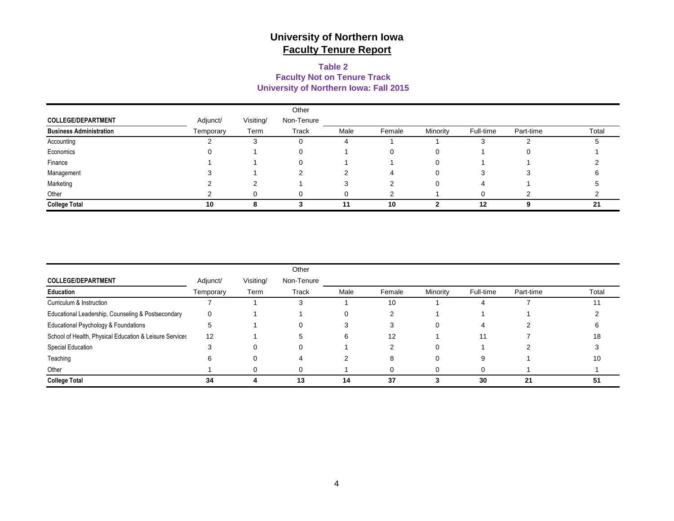### **University of Northern Iowa: Fall 2015 Table 2 Faculty Not on Tenure Track**

|                                |           |           | Other      |      |        |          |           |           |       |
|--------------------------------|-----------|-----------|------------|------|--------|----------|-----------|-----------|-------|
| <b>COLLEGE/DEPARTMENT</b>      | Adjunct/  | Visiting/ | Non-Tenure |      |        |          |           |           |       |
| <b>Business Administration</b> | Temporary | Term      | Track      | Male | Female | Minority | Full-time | Part-time | Total |
| Accounting                     |           |           | U          | 4    |        |          | ۰.        |           |       |
| Economics                      |           |           | O          |      | 0      |          |           |           |       |
| Finance                        |           |           |            |      |        |          |           |           |       |
| Management                     |           |           |            |      |        |          | 3         |           |       |
| Marketing                      |           |           |            |      |        |          | 4         |           |       |
| Other                          |           |           |            |      | ◠      |          |           |           |       |
| <b>College Total</b>           | 10        |           |            | 11   | 10     |          | 12        | $\Omega$  | 21    |

|                                                         |           |           | Other        |      |        |          |           |           |       |
|---------------------------------------------------------|-----------|-----------|--------------|------|--------|----------|-----------|-----------|-------|
| <b>COLLEGE/DEPARTMENT</b>                               | Adjunct/  | Visiting/ | Non-Tenure   |      |        |          |           |           |       |
| Education                                               | Temporary | Term      | Track        | Male | Female | Minority | Full-time | Part-time | Total |
| Curriculum & Instruction                                |           |           |              |      | 10     |          |           |           | 11    |
| Educational Leadership, Counseling & Postsecondary      | $\Omega$  |           |              | 0    | ◠      |          |           |           |       |
| Educational Psychology & Foundations                    |           |           | $\mathbf{U}$ | 3    | -1     | $\Omega$ | 4         |           |       |
| School of Health, Physical Education & Leisure Services | 12        |           |              | 6    | 12     |          | 11        |           | 18    |
| Special Education                                       |           | 0         |              |      |        | 0        |           |           |       |
| Teaching                                                |           |           | 4            |      |        | 0        | 9         |           | 10    |
| Other                                                   |           |           |              |      |        |          |           |           |       |
| <b>College Total</b>                                    | 34        |           | 13           | 14   | 37     |          | 30        | 21        | 51    |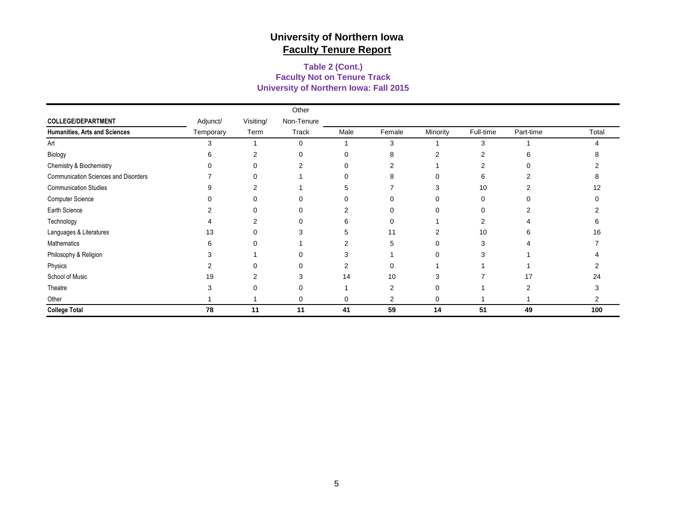### **University of Northern Iowa: Fall 2015 Faculty Not on Tenure Track Table 2 (Cont.)**

|                                      |           |           | Other      |                |          |                |           |           |       |
|--------------------------------------|-----------|-----------|------------|----------------|----------|----------------|-----------|-----------|-------|
| <b>COLLEGE/DEPARTMENT</b>            | Adjunct/  | Visiting/ | Non-Tenure |                |          |                |           |           |       |
| Humanities, Arts and Sciences        | Temporary | Term      | Track      | Male           | Female   | Minority       | Full-time | Part-time | Total |
| Art                                  | 3         |           | 0          |                | 3        |                | 3         |           | Δ     |
| Biology                              | 6         | 2         | $\Omega$   | $\Omega$       | 8        | $\overline{2}$ | 2         | 6         |       |
| Chemistry & Biochemistry             |           | $\Omega$  | 2          | $\Omega$       |          |                | 2         |           |       |
| Communication Sciences and Disorders |           | $\Omega$  |            | 0              | 8        | 0              | 6         |           |       |
| <b>Communication Studies</b>         |           | 2         |            | 5              |          | 3              | 10        |           | 12    |
| Computer Science                     |           | O         | O          | 0              |          | 0              | 0         |           |       |
| Earth Science                        |           | 0         | 0          | 2              |          | 0              | 0         |           |       |
| Technology                           |           | 2         | 0          | 6              | $\Omega$ |                | 2         |           |       |
| Languages & Literatures              | 13        | O         | 3          | 5              | 11       | $\overline{2}$ | 10        | n         | 16    |
| Mathematics                          |           |           |            | $\overline{2}$ | 5        | 0              | 3         |           |       |
| Philosophy & Religion                |           |           | 0          | 3              |          | 0              | 3         |           |       |
| Physics                              |           | 0         | 0          | 2              |          |                |           |           |       |
| School of Music                      | 19        | 2         | 3          | 14             | 10       | 3              |           | 17        | 24    |
| Theatre                              |           |           |            |                |          | 0              |           |           |       |
| Other                                |           |           | 0          | 0              | 2        | 0              |           |           | 2     |
| <b>College Total</b>                 | 78        | 11        | 11         | 41             | 59       | 14             | 51        | 49        | 100   |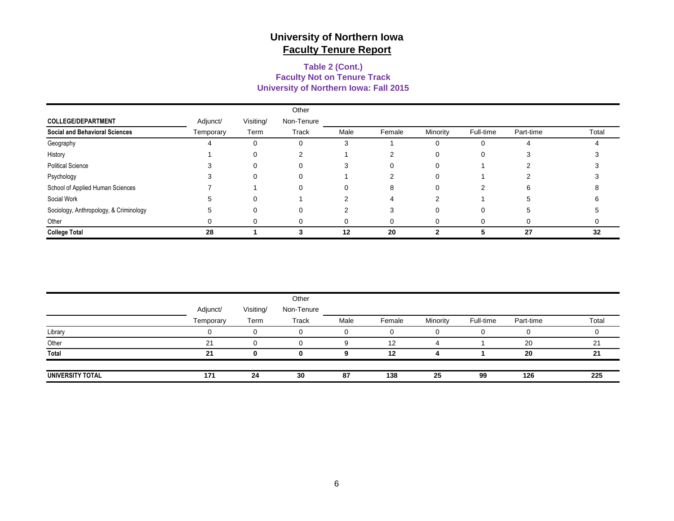### **Faculty Not on Tenure Track Table 2 (Cont.) University of Northern Iowa: Fall 2015**

|                                        |           |           | Other      |      |        |          |           |           |       |
|----------------------------------------|-----------|-----------|------------|------|--------|----------|-----------|-----------|-------|
| <b>COLLEGE/DEPARTMENT</b>              | Adjunct/  | Visiting/ | Non-Tenure |      |        |          |           |           |       |
| <b>Social and Behavioral Sciences</b>  | Temporary | Term      | Track      | Male | Female | Minority | Full-time | Part-time | Total |
| Geography                              |           |           | 0          | 3    |        |          |           |           |       |
| History                                |           |           | ◠          |      | ົ      |          | 0         |           |       |
| <b>Political Science</b>               |           |           | 0          | 3    |        |          |           |           |       |
| Psychology                             |           |           | 0          |      |        |          |           |           |       |
| School of Applied Human Sciences       |           |           | 0          | 0    | 8      |          | っ         | 6.        |       |
| Social Work                            |           |           |            |      |        |          |           |           |       |
| Sociology, Anthropology, & Criminology |           |           | 0          |      |        |          |           |           |       |
| Other                                  |           |           | 0          |      |        |          |           |           |       |
| <b>College Total</b>                   | 28        |           |            | 12   | 20     | ◠        |           | 27        | 32    |

|                  |           |           | Other      |      |        |          |           |           |       |
|------------------|-----------|-----------|------------|------|--------|----------|-----------|-----------|-------|
|                  | Adjunct/  | Visiting/ | Non-Tenure |      |        |          |           |           |       |
|                  | Temporary | Term      | Track      | Male | Female | Minority | Full-time | Part-time | Total |
| Library          |           | 0         | $\Omega$   | 0    |        | 0        |           |           |       |
| Other            | 21        | $\Omega$  | O          | 9    | 12     |          |           | 20        | 21    |
| Total            | 21        |           |            |      | 12     |          |           | 20        | 21    |
|                  |           |           |            |      |        |          |           |           |       |
| UNIVERSITY TOTAL | 171       | 24        | 30         | 87   | 138    | 25       | 99        | 126       | 225   |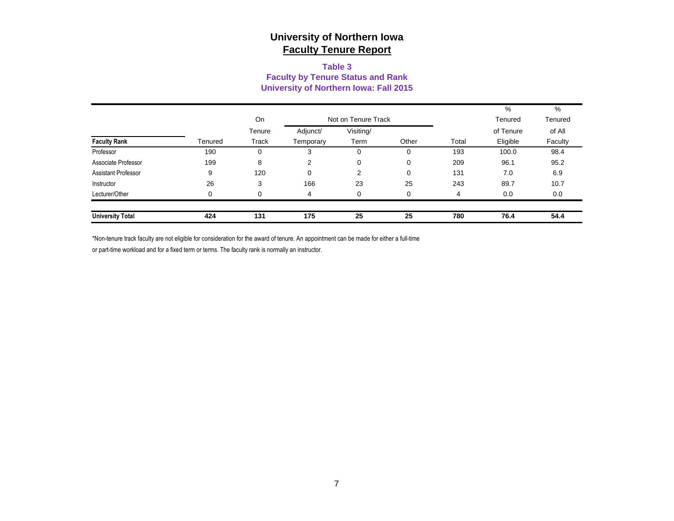#### **Table 3 Faculty by Tenure Status and Rank University of Northern Iowa: Fall 2015**

|                         |         |          |           |                     |       |       | %         | %       |
|-------------------------|---------|----------|-----------|---------------------|-------|-------|-----------|---------|
|                         |         | On       |           | Not on Tenure Track |       |       | Tenured   | Tenured |
|                         |         | Tenure   | Adjunct/  | Visiting/           |       |       | of Tenure | of All  |
| <b>Faculty Rank</b>     | Tenured | Track    | Temporary | Term                | Other | Total | Eligible  | Faculty |
| Professor               | 190     | $\Omega$ | 5         | 0                   | 0     | 193   | 100.0     | 98.4    |
| Associate Professor     | 199     | 8        | 2         | 0                   | 0     | 209   | 96.1      | 95.2    |
| Assistant Professor     | 9       | 120      | $\Omega$  | 2                   | 0     | 131   | 7.0       | 6.9     |
| Instructor              | 26      | 3        | 166       | 23                  | 25    | 243   | 89.7      | 10.7    |
| Lecturer/Other          | 0       | $\Omega$ | 4         | 0                   | 0     | 4     | 0.0       | 0.0     |
|                         |         |          |           |                     |       |       |           |         |
| <b>University Total</b> | 424     | 131      | 175       | 25                  | 25    | 780   | 76.4      | 54.4    |

\*Non-tenure track faculty are not eligible for consideration for the award of tenure. An appointment can be made for either a full-time

or part-time workload and for a fixed term or terms. The faculty rank is normally an instructor.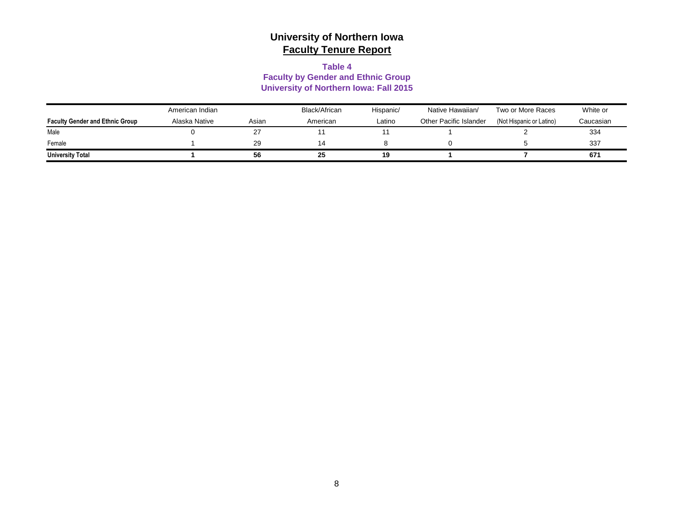#### **Table 4**

#### **Faculty by Gender and Ethnic Group University of Northern Iowa: Fall 2015**

|                                        | American Indian |       | Black/African | Hispanic/ | Native Hawaiian/       | Two or More Races        | White or  |
|----------------------------------------|-----------------|-------|---------------|-----------|------------------------|--------------------------|-----------|
| <b>Faculty Gender and Ethnic Group</b> | Alaska Native   | Asian | American      | Latino    | Other Pacific Islander | (Not Hispanic or Latino) | Caucasian |
| Male                                   |                 |       |               |           |                        |                          | 334       |
| Female                                 |                 | 29    |               |           |                        |                          | 337       |
| <b>University Total</b>                |                 | 56    | 25            | 19        |                        |                          | 671       |